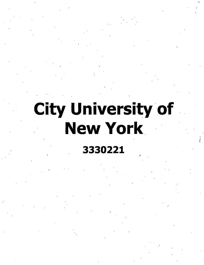## **City University of New York**

**3330221**

*I*